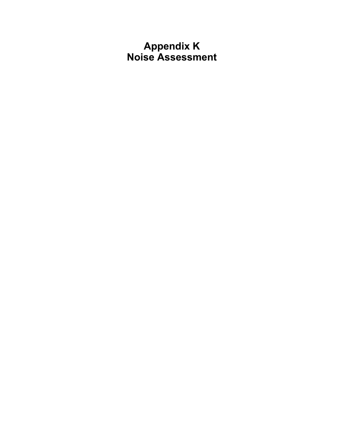# **Appendix K Noise Assessment**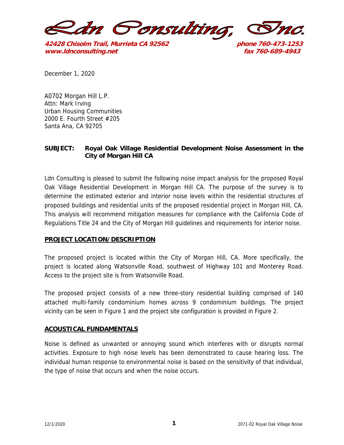

**42428 Chisolm Trail, Murrieta CA 92562 phone 760-473-1253 www.ldnconsulting.net fax 760-689-4943**

December 1, 2020

A0702 Morgan Hill L.P. Attn: Mark Irving Urban Housing Communities 2000 E. Fourth Street #205 Santa Ana, CA 92705

## **SUBJECT: Royal Oak Village Residential Development Noise Assessment in the City of Morgan Hill CA**

Ldn Consulting is pleased to submit the following noise impact analysis for the proposed Royal Oak Village Residential Development in Morgan Hill CA. The purpose of the survey is to determine the estimated exterior and interior noise levels within the residential structures of proposed buildings and residential units of the proposed residential project in Morgan Hill, CA. This analysis will recommend mitigation measures for compliance with the California Code of Regulations Title 24 and the City of Morgan Hill guidelines and requirements for interior noise.

## **PROJECT LOCATION/DESCRIPTION**

The proposed project is located within the City of Morgan Hill, CA. More specifically, the project is located along Watsonville Road, southwest of Highway 101 and Monterey Road. Access to the project site is from Watsonville Road.

The proposed project consists of a new three-story residential building comprised of 140 attached multi-family condominium homes across 9 condominium buildings. The project vicinity can be seen in Figure 1 and the project site configuration is provided in Figure 2.

## **ACOUSTICAL FUNDAMENTALS**

Noise is defined as unwanted or annoying sound which interferes with or disrupts normal activities. Exposure to high noise levels has been demonstrated to cause hearing loss. The individual human response to environmental noise is based on the sensitivity of that individual, the type of noise that occurs and when the noise occurs.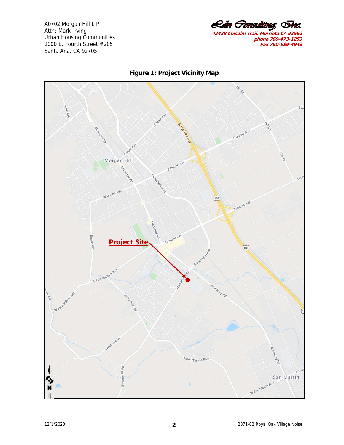<u> *Ldn Gonsulting*, Inc.</u> **42428 Chisolm Trail, Murrieta CA 92562 phone 760-473-1253 Fax 760-689-4943**



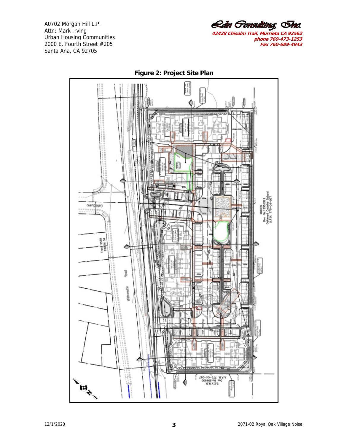Rán Gonsulting, Inc. **42428 Chisolm Trail, Murrieta CA 92562** 

**phone 760-473-1253 Fax 760-689-4943**



**Figure 2: Project Site Plan**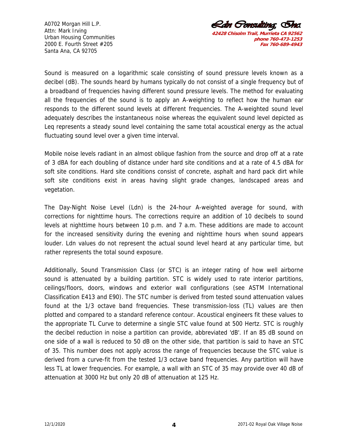

Sound is measured on a logarithmic scale consisting of sound pressure levels known as a decibel (dB). The sounds heard by humans typically do not consist of a single frequency but of a broadband of frequencies having different sound pressure levels. The method for evaluating all the frequencies of the sound is to apply an A-weighting to reflect how the human ear responds to the different sound levels at different frequencies. The A-weighted sound level adequately describes the instantaneous noise whereas the equivalent sound level depicted as Leq represents a steady sound level containing the same total acoustical energy as the actual fluctuating sound level over a given time interval.

Mobile noise levels radiant in an almost oblique fashion from the source and drop off at a rate of 3 dBA for each doubling of distance under hard site conditions and at a rate of 4.5 dBA for soft site conditions. Hard site conditions consist of concrete, asphalt and hard pack dirt while soft site conditions exist in areas having slight grade changes, landscaped areas and vegetation.

The Day-Night Noise Level (Ldn) is the 24-hour A-weighted average for sound, with corrections for nighttime hours. The corrections require an addition of 10 decibels to sound levels at nighttime hours between 10 p.m. and 7 a.m. These additions are made to account for the increased sensitivity during the evening and nighttime hours when sound appears louder. Ldn values do not represent the actual sound level heard at any particular time, but rather represents the total sound exposure.

Additionally, Sound Transmission Class (or STC) is an integer rating of how well airborne sound is attenuated by a building partition. STC is widely used to rate interior partitions, ceilings/floors, doors, windows and exterior wall configurations (see ASTM International Classification E413 and E90). The STC number is derived from tested sound attenuation values found at the 1/3 octave band frequencies. These transmission-loss (TL) values are then plotted and compared to a standard reference contour. Acoustical engineers fit these values to the appropriate TL Curve to determine a single STC value found at 500 Hertz. STC is roughly the decibel reduction in noise a partition can provide, abbreviated 'dB'. If an 85 dB sound on one side of a wall is reduced to 50 dB on the other side, that partition is said to have an STC of 35. This number does not apply across the range of frequencies because the STC value is derived from a curve-fit from the tested 1/3 octave band frequencies. Any partition will have less TL at lower frequencies. For example, a wall with an STC of 35 may provide over 40 dB of attenuation at 3000 Hz but only 20 dB of attenuation at 125 Hz.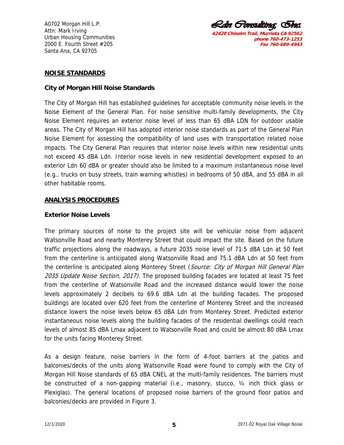*Ldn Gonsulting, In* **42428 Chisolm Trail, Murrieta CA 92562** 

**phone 760-473-1253 Fax 760-689-4943**

### **NOISE STANDARDS**

#### **City of Morgan Hill Noise Standards**

The City of Morgan Hill has established guidelines for acceptable community noise levels in the Noise Element of the General Plan. For noise sensitive multi-family developments, the City Noise Element requires an exterior noise level of less than 65 dBA LDN for outdoor usable areas. The City of Morgan Hill has adopted interior noise standards as part of the General Plan Noise Element for assessing the compatibility of land uses with transportation related noise impacts. The City General Plan requires that interior noise levels within new residential units not exceed 45 dBA Ldn. Interior noise levels in new residential development exposed to an exterior Ldn 60 dBA or greater should also be limited to a maximum instantaneous noise level (e.g., trucks on busy streets, train warning whistles) in bedrooms of 50 dBA, and 55 dBA in all other habitable rooms.

#### **ANALYSIS PROCEDURES**

#### **Exterior Noise Levels**

The primary sources of noise to the project site will be vehicular noise from adjacent Watsonville Road and nearby Monterey Street that could impact the site. Based on the future traffic projections along the roadways, a future 2035 noise level of 71.5 dBA Ldn at 50 feet from the centerline is anticipated along Watsonville Road and 75.1 dBA Ldn at 50 feet from the centerline is anticipated along Monterey Street (Source: City of Morgan Hill General Plan 2035 Update Noise Section, 2017). The proposed building facades are located at least 75 feet from the centerline of Watsonville Road and the increased distance would lower the noise levels approximately 2 decibels to 69.6 dBA Ldn at the building facades. The proposed buildings are located over 620 feet from the centerline of Monterey Street and the increased distance lowers the noise levels below 65 dBA Ldn from Monterey Street. Predicted exterior instantaneous noise levels along the building facades of the residential dwellings could reach levels of almost 85 dBA Lmax adjacent to Watsonville Road and could be almost 80 dBA Lmax for the units facing Monterey Street.

As a design feature, noise barriers in the form of 4-foot barriers at the patios and balconies/decks of the units along Watsonville Road were found to comply with the City of Morgan Hill Noise standards of 65 dBA CNEL at the multi-family residences. The barriers must be constructed of a non-gapping material (i.e., masonry, stucco, ¼ inch thick glass or Plexiglas). The general locations of proposed noise barriers of the ground floor patios and balconies/decks are provided in Figure 3.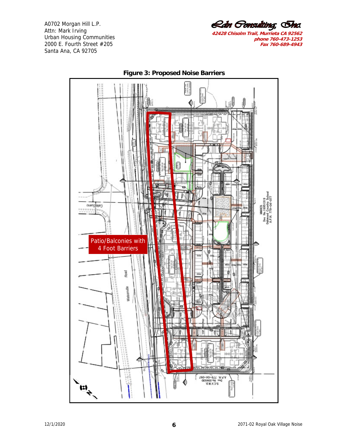Rán Gonsulting, Inc. **42428 Chisolm Trail, Murrieta CA 92562** 

**phone 760-473-1253 Fax 760-689-4943**



**Figure 3: Proposed Noise Barriers**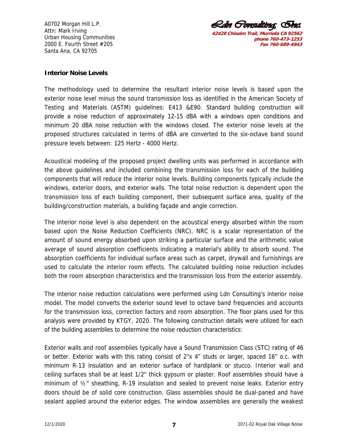<u> *Rdn Gonsulting*, Ema</u> **42428 Chisolm Trail, Murrieta CA 92562 phone 760-473-1253 Fax 760-689-4943**

#### **Interior Noise Levels**

The methodology used to determine the resultant interior noise levels is based upon the exterior noise level minus the sound transmission loss as identified in the American Society of Testing and Materials (ASTM) guidelines: E413 &E90. Standard building construction will provide a noise reduction of approximately 12-15 dBA with a windows open conditions and minimum 20 dBA noise reduction with the windows closed. The exterior noise levels at the proposed structures calculated in terms of dBA are converted to the six-octave band sound pressure levels between: 125 Hertz - 4000 Hertz.

Acoustical modeling of the proposed project dwelling units was performed in accordance with the above guidelines and included combining the transmission loss for each of the building components that will reduce the interior noise levels. Building components typically include the windows, exterior doors, and exterior walls. The total noise reduction is dependent upon the transmission loss of each building component, their subsequent surface area, quality of the building/construction materials, a building façade and angle correction.

The interior noise level is also dependent on the acoustical energy absorbed within the room based upon the Noise Reduction Coefficients (NRC). NRC is a scalar representation of the amount of sound energy absorbed upon striking a particular surface and the arithmetic value average of sound absorption coefficients indicating a material's ability to absorb sound. The absorption coefficients for individual surface areas such as carpet, drywall and furnishings are used to calculate the interior room effects. The calculated building noise reduction includes both the room absorption characteristics and the transmission loss from the exterior assembly.

The interior noise reduction calculations were performed using Ldn Consulting's interior noise model. The model converts the exterior sound level to octave band frequencies and accounts for the transmission loss, correction factors and room absorption. The floor plans used for this analysis were provided by KTGY, 2020. The following construction details were utilized for each of the building assemblies to determine the noise reduction characteristics:

Exterior walls and roof assemblies typically have a Sound Transmission Class (STC) rating of 46 or better. Exterior walls with this rating consist of 2"x 4" studs or larger, spaced 16" o.c. with minimum R-13 insulation and an exterior surface of hardiplank or stucco. Interior wall and ceiling surfaces shall be at least 1/2" thick gypsum or plaster. Roof assemblies should have a minimum of ½" sheathing, R-19 insulation and sealed to prevent noise leaks. Exterior entry doors should be of solid core construction. Glass assemblies should be dual-paned and have sealant applied around the exterior edges. The window assemblies are generally the weakest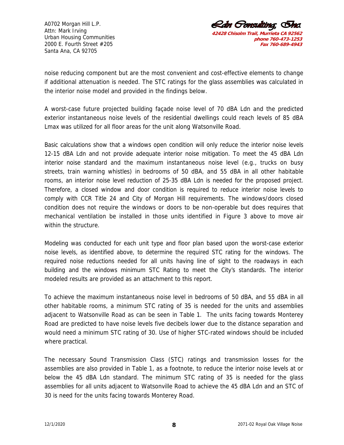

noise reducing component but are the most convenient and cost-effective elements to change if additional attenuation is needed. The STC ratings for the glass assemblies was calculated in the interior noise model and provided in the findings below.

A worst-case future projected building façade noise level of 70 dBA Ldn and the predicted exterior instantaneous noise levels of the residential dwellings could reach levels of 85 dBA Lmax was utilized for all floor areas for the unit along Watsonville Road.

Basic calculations show that a windows open condition will only reduce the interior noise levels 12-15 dBA Ldn and not provide adequate interior noise mitigation. To meet the 45 dBA Ldn interior noise standard and the maximum instantaneous noise level (e.g., trucks on busy streets, train warning whistles) in bedrooms of 50 dBA, and 55 dBA in all other habitable rooms, an interior noise level reduction of 25-35 dBA Ldn is needed for the proposed project. Therefore, a closed window and door condition is required to reduce interior noise levels to comply with CCR Title 24 and City of Morgan Hill requirements. The windows/doors closed condition does not require the windows or doors to be non-operable but does requires that mechanical ventilation be installed in those units identified in Figure 3 above to move air within the structure.

Modeling was conducted for each unit type and floor plan based upon the worst-case exterior noise levels, as identified above, to determine the required STC rating for the windows. The required noise reductions needed for all units having line of sight to the roadways in each building and the windows minimum STC Rating to meet the City's standards. The interior modeled results are provided as an attachment to this report.

To achieve the maximum instantaneous noise level in bedrooms of 50 dBA, and 55 dBA in all other habitable rooms, a minimum STC rating of 35 is needed for the units and assemblies adjacent to Watsonville Road as can be seen in Table 1. The units facing towards Monterey Road are predicted to have noise levels five decibels lower due to the distance separation and would need a minimum STC rating of 30. Use of higher STC-rated windows should be included where practical.

The necessary Sound Transmission Class (STC) ratings and transmission losses for the assemblies are also provided in Table 1, as a footnote, to reduce the interior noise levels at or below the 45 dBA Ldn standard. The minimum STC rating of 35 is needed for the glass assemblies for all units adjacent to Watsonville Road to achieve the 45 dBA Ldn and an STC of 30 is need for the units facing towards Monterey Road.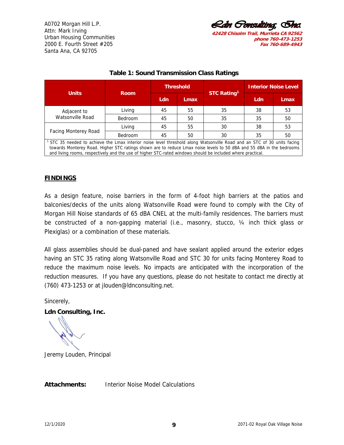*Rdn Oonsultina.* **42428 Chisolm Trail, Murrieta CA 92562 phone 760-473-1253 Fax 760-689-4943**

|                                                                                                                                                                                                                                                                                                                                                                          |                |     | <b>Threshold</b> |                    | <b>Interior Noise Level</b> |             |  |  |  |  |
|--------------------------------------------------------------------------------------------------------------------------------------------------------------------------------------------------------------------------------------------------------------------------------------------------------------------------------------------------------------------------|----------------|-----|------------------|--------------------|-----------------------------|-------------|--|--|--|--|
| <b>Units</b>                                                                                                                                                                                                                                                                                                                                                             | <b>Room</b>    | Ldn | <b>Lmax</b>      | <b>STC Rating1</b> | Ldn                         | <b>Lmax</b> |  |  |  |  |
| Adjacent to<br>Watsonville Road                                                                                                                                                                                                                                                                                                                                          | Living         | 45  | 55               | 35                 | 38                          | 53          |  |  |  |  |
|                                                                                                                                                                                                                                                                                                                                                                          | <b>Bedroom</b> | 45  | 50               | 35                 | 35                          | 50          |  |  |  |  |
| <b>Facing Monterey Road</b>                                                                                                                                                                                                                                                                                                                                              | Living         | 45  | 55               | 30                 | 38                          | 53          |  |  |  |  |
|                                                                                                                                                                                                                                                                                                                                                                          | <b>Bedroom</b> | 45  | 50               | 30                 | 35                          | 50          |  |  |  |  |
| <sup>1</sup> STC 35 needed to achieve the Lmax interior noise level threshold along Watsonville Road and an STC of 30 units facing<br>towards Monterey Road. Higher STC ratings shown are to reduce Lmax noise levels to 50 dBA and 55 dBA in the bedrooms<br>and living rooms, respectively and the use of higher STC-rated windows should be included where practical. |                |     |                  |                    |                             |             |  |  |  |  |

## **Table 1: Sound Transmission Class Ratings**

## **FINDINGS**

As a design feature, noise barriers in the form of 4-foot high barriers at the patios and balconies/decks of the units along Watsonville Road were found to comply with the City of Morgan Hill Noise standards of 65 dBA CNEL at the multi-family residences. The barriers must be constructed of a non-gapping material (i.e., masonry, stucco, ¼ inch thick glass or Plexiglas) or a combination of these materials.

All glass assemblies should be dual-paned and have sealant applied around the exterior edges having an STC 35 rating along Watsonville Road and STC 30 for units facing Monterey Road to reduce the maximum noise levels. No impacts are anticipated with the incorporation of the reduction measures. If you have any questions, please do not hesitate to contact me directly at (760) 473-1253 or at jlouden@ldnconsulting.net.

Sincerely,

**Ldn Consulting, Inc.** 

Jeremy Louden, Principal

**Attachments:** Interior Noise Model Calculations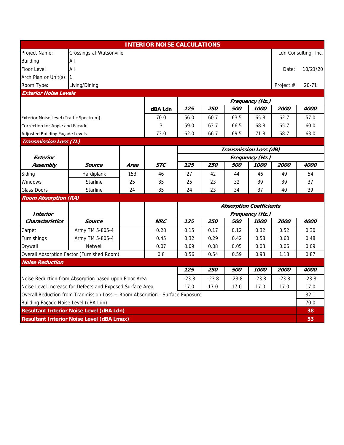|                                                                              |                                                           |      | <b>INTERIOR NOISE CALCULATIONS</b> |         |                   |                                |                 |             |                      |
|------------------------------------------------------------------------------|-----------------------------------------------------------|------|------------------------------------|---------|-------------------|--------------------------------|-----------------|-------------|----------------------|
| Project Name:                                                                | Crossings at Watsonville                                  |      |                                    |         |                   |                                |                 |             | Ldn Consulting, Inc. |
| <b>Building</b>                                                              | All                                                       |      |                                    |         |                   |                                |                 |             |                      |
| <b>Floor Level</b>                                                           | All<br>Date:                                              |      |                                    |         |                   |                                |                 |             |                      |
| Arch Plan or Unit(s): 1                                                      |                                                           |      |                                    |         |                   |                                |                 |             |                      |
| Room Type:                                                                   | Living/Dining                                             |      |                                    |         |                   |                                |                 | Project #   | $20 - 71$            |
| <b>Exterior Noise Levels</b>                                                 |                                                           |      |                                    |         |                   |                                |                 |             |                      |
|                                                                              |                                                           |      |                                    |         |                   |                                | Frequency (Hz.) |             |                      |
|                                                                              |                                                           |      | dBA Ldn                            | 125     | 250               | 500                            | 1000            | <i>2000</i> | 4000                 |
| Exterior Noise Level (Traffic Spectrum)                                      |                                                           |      | 70.0                               | 56.0    | 60.7              | 63.5                           | 65.8            | 62.7        | 57.0                 |
| Correction for Angle and Façade                                              |                                                           |      | 3                                  | 59.0    | 63.7              | 66.5                           | 68.8            | 65.7        | 60.0                 |
| Adjusted Building Façade Levels                                              |                                                           |      | 73.0                               | 62.0    | 66.7              | 69.5                           | 71.8            | 68.7        | 63.0                 |
| <b>Transmission Loss (TL)</b>                                                |                                                           |      |                                    |         |                   |                                |                 |             |                      |
|                                                                              |                                                           |      |                                    |         |                   | Transmission Loss (dB)         |                 |             |                      |
| <b>Exterior</b>                                                              |                                                           |      |                                    |         |                   |                                | Frequency (Hz.) |             |                      |
| Assembly                                                                     | <b>Source</b>                                             | Area | <b>STC</b>                         | 125     | 250               | 500                            | 1000            | 2000        | 4000                 |
| Siding                                                                       | Hardiplank                                                | 153  | 46                                 | 27      | 42                | 44                             | 46              | 49          | 54                   |
| <b>Windows</b>                                                               | <b>Starline</b>                                           | 25   | 35                                 | 25      | 23                | 32                             | 39              | 39          | 37                   |
| <b>Glass Doors</b>                                                           | Starline                                                  | 24   | 35                                 | 24      | 23                | 34                             | 37              | 40          | 39                   |
| <b>Room Absorption (RA)</b>                                                  |                                                           |      |                                    |         |                   |                                |                 |             |                      |
|                                                                              |                                                           |      |                                    |         |                   | <b>Absorption Coefficients</b> |                 |             |                      |
| <b>Interior</b>                                                              |                                                           |      |                                    |         |                   |                                | Frequency (Hz.) |             |                      |
| <b>Characteristics</b>                                                       | <b>Source</b>                                             |      | <b>NRC</b>                         | 125     | 250               | 500                            | 1000            | 2000        | 4000                 |
| Carpet                                                                       | Army TM 5-805-4                                           |      | 0.28                               | 0.15    | 0.17              | 0.12                           | 0.32            | 0.52        | 0.30                 |
| Furnishings                                                                  | Army TM 5-805-4                                           |      | 0.45                               | 0.32    | 0.29              | 0.42                           | 0.58            | 0.60        | 0.48                 |
| Drywall                                                                      | Netwell                                                   |      | 0.07                               | 0.09    | 0.08              | 0.05                           | 0.03            | 0.06        | 0.09                 |
|                                                                              | Overall Absorption Factor (Furnished Room)                |      | 0.8                                | 0.56    | 0.54              | 0.59                           | 0.93            | 1.18        | 0.87                 |
| <b>Noise Reduction</b>                                                       |                                                           |      |                                    |         |                   |                                |                 |             |                      |
|                                                                              |                                                           |      |                                    | 125     | <i><b>250</b></i> | 500                            | 1000            | <i>2000</i> | 4000                 |
|                                                                              | Noise Reduction from Absorption based upon Floor Area     |      |                                    | $-23.8$ | $-23.8$           | $-23.8$                        | $-23.8$         | $-23.8$     | $-23.8$              |
|                                                                              | Noise Level Increase for Defects and Exposed Surface Area |      |                                    | 17.0    | 17.0              | 17.0                           | 17.0            | 17.0        | 17.0                 |
| Overall Reduction from Tranmission Loss + Room Absorption - Surface Exposure |                                                           |      |                                    |         |                   |                                |                 | 32.1        |                      |
| Building Façade Noise Level (dBA Ldn)                                        |                                                           |      |                                    |         |                   |                                |                 |             | 70.0                 |
|                                                                              | <b>Resultant Interior Noise Level (dBA Ldn)</b>           |      |                                    |         |                   |                                |                 |             | 38                   |
| <b>Resultant Interior Noise Level (dBA Lmax)</b>                             |                                                           |      |                                    |         |                   |                                |                 | 53          |                      |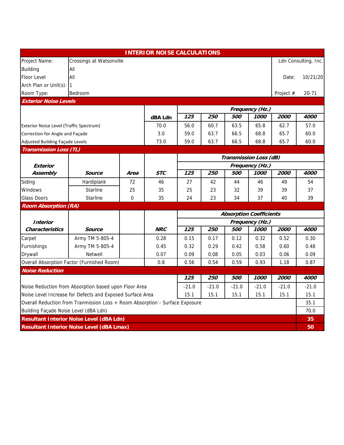|                                                                              |                                                           |       | <b>INTERIOR NOISE CALCULATIONS</b> |         |         |                                |                 |             |                      |  |  |
|------------------------------------------------------------------------------|-----------------------------------------------------------|-------|------------------------------------|---------|---------|--------------------------------|-----------------|-------------|----------------------|--|--|
| Project Name:                                                                | Crossings at Watsonville                                  |       |                                    |         |         |                                |                 |             | Ldn Consulting, Inc. |  |  |
| <b>Building</b>                                                              | All                                                       |       |                                    |         |         |                                |                 |             |                      |  |  |
| Floor Level                                                                  | All                                                       | Date: |                                    |         |         |                                |                 |             |                      |  |  |
| Arch Plan or Unit(s): 1                                                      |                                                           |       |                                    |         |         |                                |                 |             |                      |  |  |
| Room Type:                                                                   | Bedroom                                                   |       |                                    |         |         |                                |                 | Project #   | $20 - 71$            |  |  |
| <b>Exterior Noise Levels</b>                                                 |                                                           |       |                                    |         |         |                                |                 |             |                      |  |  |
|                                                                              |                                                           |       |                                    |         |         |                                | Frequency (Hz.) |             |                      |  |  |
|                                                                              |                                                           |       | dBA Ldn                            | 125     | 250     | 500                            | 1000            | 2000        | 4000                 |  |  |
| Exterior Noise Level (Traffic Spectrum)                                      |                                                           |       | 70.0                               | 56.0    | 60.7    | 63.5                           | 65.8            | 62.7        | 57.0                 |  |  |
| Correction for Angle and Façade                                              |                                                           |       | 3.0                                | 59.0    | 63.7    | 66.5                           | 68.8            | 65.7        | 60.0                 |  |  |
| Adjusted Building Façade Levels                                              |                                                           |       | 73.0                               | 59.0    | 63.7    | 66.5                           | 68.8            | 65.7        | 60.0                 |  |  |
| <b>Transmission Loss (TL)</b>                                                |                                                           |       |                                    |         |         |                                |                 |             |                      |  |  |
|                                                                              |                                                           |       |                                    |         |         | Transmission Loss (dB)         |                 |             |                      |  |  |
| Exterior                                                                     |                                                           |       |                                    |         |         |                                | Frequency (Hz.) |             |                      |  |  |
| Assembly                                                                     | Source                                                    | Area  | <b>STC</b>                         | 125     | 250     | 500                            | 1000            | <i>2000</i> | 4000                 |  |  |
| Siding                                                                       | Hardiplank                                                | 72    | 46                                 | 27      | 42      | 44                             | 46              | 49          | 54                   |  |  |
| Windows                                                                      | <b>Starline</b>                                           | 25    | 35                                 | 25      | 23      | 32                             | 39              | 39          | 37                   |  |  |
| <b>Glass Doors</b>                                                           | Starline                                                  | 0     | 35                                 | 24      | 23      | 34                             | 37              | 40          | 39                   |  |  |
| <b>Room Absorption (RA)</b>                                                  |                                                           |       |                                    |         |         |                                |                 |             |                      |  |  |
|                                                                              |                                                           |       |                                    |         |         | <b>Absorption Coefficients</b> |                 |             |                      |  |  |
| <i><b>Interior</b></i>                                                       |                                                           |       |                                    |         |         |                                | Frequency (Hz.) |             |                      |  |  |
| <b>Characteristics</b>                                                       | <b>Source</b>                                             |       | <b>NRC</b>                         | 125     | 250     | 500                            | 1000            | 2000        | 4000                 |  |  |
| Carpet                                                                       | Army TM 5-805-4                                           |       | 0.28                               | 0.15    | 0.17    | 0.12                           | 0.32            | 0.52        | 0.30                 |  |  |
| Furnishings                                                                  | Army TM 5-805-4                                           |       | 0.45                               | 0.32    | 0.29    | 0.42                           | 0.58            | 0.60        | 0.48                 |  |  |
| Drywall                                                                      | <b>Netwell</b>                                            |       | 0.07                               | 0.09    | 0.08    | 0.05                           | 0.03            | 0.06        | 0.09                 |  |  |
|                                                                              | Overall Absorption Factor (Furnished Room)                |       | 0.8                                | 0.56    | 0.54    | 0.59                           | 0.93            | 1.18        | 0.87                 |  |  |
| <b>Noise Reduction</b>                                                       |                                                           |       |                                    |         |         |                                |                 |             |                      |  |  |
|                                                                              |                                                           |       |                                    | 125     | 250     | 500                            | 1000            | 2000        | 4000                 |  |  |
|                                                                              | Noise Reduction from Absorption based upon Floor Area     |       |                                    | $-21.0$ | $-21.0$ | $-21.0$                        | $-21.0$         | $-21.0$     | $-21.0$              |  |  |
|                                                                              | Noise Level Increase for Defects and Exposed Surface Area |       |                                    | 15.1    | 15.1    | 15.1                           | 15.1            | 15.1        | 15.1                 |  |  |
| Overall Reduction from Tranmission Loss + Room Absorption - Surface Exposure |                                                           |       |                                    |         |         |                                |                 | 35.1        |                      |  |  |
| Building Façade Noise Level (dBA Ldn)                                        |                                                           |       |                                    |         |         |                                |                 |             | 70.0                 |  |  |
|                                                                              | <b>Resultant Interior Noise Level (dBA Ldn)</b>           |       |                                    |         |         |                                |                 |             | 35                   |  |  |
|                                                                              | <b>Resultant Interior Noise Level (dBA Lmax)</b>          |       |                                    |         |         |                                |                 |             | 50                   |  |  |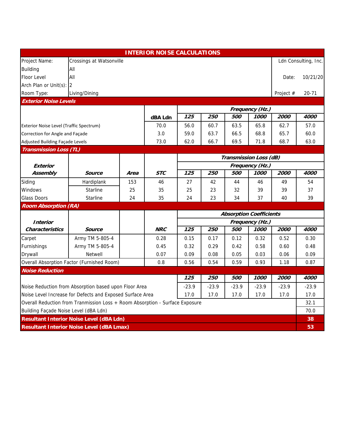|                                                                              |                                                           |       | <b>INTERIOR NOISE CALCULATIONS</b> |       |         |                                |                 |             |                      |  |
|------------------------------------------------------------------------------|-----------------------------------------------------------|-------|------------------------------------|-------|---------|--------------------------------|-----------------|-------------|----------------------|--|
| Project Name:                                                                | Crossings at Watsonville                                  |       |                                    |       |         |                                |                 |             | Ldn Consulting, Inc. |  |
| <b>Building</b>                                                              | All                                                       |       |                                    |       |         |                                |                 |             |                      |  |
| Floor Level                                                                  | All                                                       | Date: |                                    |       |         |                                |                 |             |                      |  |
| Arch Plan or Unit(s): 2                                                      |                                                           |       |                                    |       |         |                                |                 |             |                      |  |
| Room Type:                                                                   | Living/Dining                                             |       |                                    |       |         |                                |                 | Project #   | $20 - 71$            |  |
| <b>Exterior Noise Levels</b>                                                 |                                                           |       |                                    |       |         |                                |                 |             |                      |  |
|                                                                              |                                                           |       |                                    |       |         |                                | Frequency (Hz.) |             |                      |  |
|                                                                              |                                                           |       | dBA Ldn                            | 125   | 250     | <i><b>500</b></i>              | 1000            | 2000        | 4000                 |  |
| Exterior Noise Level (Traffic Spectrum)                                      |                                                           |       | 70.0                               | 56.0  | 60.7    | 63.5                           | 65.8            | 62.7        | 57.0                 |  |
| Correction for Angle and Façade                                              |                                                           |       | 3.0                                | 59.0  | 63.7    | 66.5                           | 68.8            | 65.7        | 60.0                 |  |
| Adjusted Building Façade Levels                                              |                                                           |       | 73.0                               | 62.0  | 66.7    | 69.5                           | 71.8            | 68.7        | 63.0                 |  |
| <b>Transmission Loss (TL)</b>                                                |                                                           |       |                                    |       |         |                                |                 |             |                      |  |
|                                                                              |                                                           |       |                                    |       |         | Transmission Loss (dB)         |                 |             |                      |  |
| Exterior                                                                     |                                                           |       |                                    |       |         |                                | Frequency (Hz.) |             |                      |  |
| Assembly                                                                     | Source                                                    | Area  | <b>STC</b>                         | 125   | 250     | 500                            | 1000            | <i>2000</i> | 4000                 |  |
| Siding                                                                       | Hardiplank                                                | 153   | 46                                 | 27    | 42      | 44                             | 46              | 49          | 54                   |  |
| Windows                                                                      | <b>Starline</b>                                           | 25    | 35                                 | 25    | 23      | 32                             | 39              | 39          | 37                   |  |
| <b>Glass Doors</b>                                                           | Starline                                                  | 24    | 35                                 | 24    | 23      | 34                             | 37              | 40          | 39                   |  |
| <b>Room Absorption (RA)</b>                                                  |                                                           |       |                                    |       |         |                                |                 |             |                      |  |
|                                                                              |                                                           |       |                                    |       |         | <b>Absorption Coefficients</b> |                 |             |                      |  |
| <b>Interior</b>                                                              |                                                           |       |                                    |       |         |                                | Frequency (Hz.) |             |                      |  |
| <b>Characteristics</b>                                                       | Source                                                    |       | <b>NRC</b>                         | 125   | 250     | <i><b>500</b></i>              | 1000            | <i>2000</i> | 4000                 |  |
| Carpet                                                                       | Army TM 5-805-4                                           |       | 0.28                               | 0.15  | 0.17    | 0.12                           | 0.32            | 0.52        | 0.30                 |  |
| Furnishings                                                                  | Army TM 5-805-4                                           |       | 0.45                               | 0.32  | 0.29    | 0.42                           | 0.58            | 0.60        | 0.48                 |  |
| Drywall                                                                      | Netwell                                                   |       | 0.07                               | 0.09  | 0.08    | 0.05                           | 0.03            | 0.06        | 0.09                 |  |
|                                                                              | Overall Absorption Factor (Furnished Room)                |       | 0.8                                | 0.56  | 0.54    | 0.59                           | 0.93            | 1.18        | 0.87                 |  |
| <b>Noise Reduction</b>                                                       |                                                           |       |                                    |       |         |                                |                 |             |                      |  |
|                                                                              |                                                           |       |                                    | 125   | 250     | 500                            | 1000            | 2000        | 4000                 |  |
|                                                                              | Noise Reduction from Absorption based upon Floor Area     |       |                                    | -23.9 | $-23.9$ | $-23.9$                        | $-23.9$         | $-23.9$     | $-23.9$              |  |
|                                                                              | Noise Level Increase for Defects and Exposed Surface Area |       |                                    | 17.0  | 17.0    | 17.0                           | 17.0            | 17.0        | 17.0                 |  |
| Overall Reduction from Tranmission Loss + Room Absorption - Surface Exposure |                                                           |       |                                    |       |         |                                |                 | 32.1        |                      |  |
| Building Façade Noise Level (dBA Ldn)                                        |                                                           |       |                                    |       |         |                                |                 |             | 70.0                 |  |
|                                                                              | <b>Resultant Interior Noise Level (dBA Ldn)</b>           |       |                                    |       |         |                                |                 |             | 38                   |  |
|                                                                              | <b>Resultant Interior Noise Level (dBA Lmax)</b>          |       |                                    |       |         |                                |                 |             | 53                   |  |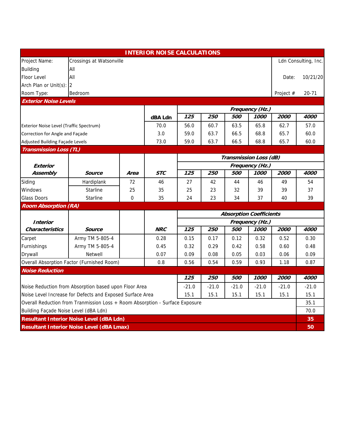|                                                                              |                                                           |       | <b>INTERIOR NOISE CALCULATIONS</b> |         |         |         |                                |             |                      |  |  |
|------------------------------------------------------------------------------|-----------------------------------------------------------|-------|------------------------------------|---------|---------|---------|--------------------------------|-------------|----------------------|--|--|
| Project Name:                                                                | Crossings at Watsonville                                  |       |                                    |         |         |         |                                |             | Ldn Consulting, Inc. |  |  |
| <b>Building</b>                                                              | All                                                       |       |                                    |         |         |         |                                |             |                      |  |  |
| Floor Level                                                                  | All                                                       | Date: |                                    |         |         |         |                                |             |                      |  |  |
| Arch Plan or Unit(s): 2                                                      |                                                           |       |                                    |         |         |         |                                |             |                      |  |  |
| Room Type:                                                                   | Bedroom                                                   |       |                                    |         |         |         |                                | Project #   | $20 - 71$            |  |  |
| <b>Exterior Noise Levels</b>                                                 |                                                           |       |                                    |         |         |         |                                |             |                      |  |  |
|                                                                              |                                                           |       |                                    |         |         |         | Frequency (Hz.)                |             |                      |  |  |
|                                                                              |                                                           |       | dBA Ldn                            | 125     | 250     | 500     | 1000                           | 2000        | 4000                 |  |  |
| Exterior Noise Level (Traffic Spectrum)                                      |                                                           |       | 70.0                               | 56.0    | 60.7    | 63.5    | 65.8                           | 62.7        | 57.0                 |  |  |
| Correction for Angle and Façade                                              |                                                           |       | 3.0                                | 59.0    | 63.7    | 66.5    | 68.8                           | 65.7        | 60.0                 |  |  |
| Adjusted Building Façade Levels                                              |                                                           |       | 73.0                               | 59.0    | 63.7    | 66.5    | 68.8                           | 65.7        | 60.0                 |  |  |
| <b>Transmission Loss (TL)</b>                                                |                                                           |       |                                    |         |         |         |                                |             |                      |  |  |
|                                                                              |                                                           |       |                                    |         |         |         | Transmission Loss (dB)         |             |                      |  |  |
| Exterior                                                                     |                                                           |       |                                    |         |         |         | Frequency (Hz.)                |             |                      |  |  |
| Assembly                                                                     | Source                                                    | Area  | <b>STC</b>                         | 125     | 250     | 500     | 1000                           | <i>2000</i> | 4000                 |  |  |
| Siding                                                                       | Hardiplank                                                | 72    | 46                                 | 27      | 42      | 44      | 46                             | 49          | 54                   |  |  |
| Windows                                                                      | <b>Starline</b>                                           | 25    | 35                                 | 25      | 23      | 32      | 39                             | 39          | 37                   |  |  |
| <b>Glass Doors</b>                                                           | Starline                                                  | 0     | 35                                 | 24      | 23      | 34      | 37                             | 40          | 39                   |  |  |
| <b>Room Absorption (RA)</b>                                                  |                                                           |       |                                    |         |         |         |                                |             |                      |  |  |
|                                                                              |                                                           |       |                                    |         |         |         | <b>Absorption Coefficients</b> |             |                      |  |  |
| <i><b>Interior</b></i>                                                       |                                                           |       |                                    |         |         |         | Frequency (Hz.)                |             |                      |  |  |
| <b>Characteristics</b>                                                       | <b>Source</b>                                             |       | <b>NRC</b>                         | 125     | 250     | 500     | 1000                           | 2000        | 4000                 |  |  |
| Carpet                                                                       | Army TM 5-805-4                                           |       | 0.28                               | 0.15    | 0.17    | 0.12    | 0.32                           | 0.52        | 0.30                 |  |  |
| Furnishings                                                                  | Army TM 5-805-4                                           |       | 0.45                               | 0.32    | 0.29    | 0.42    | 0.58                           | 0.60        | 0.48                 |  |  |
| Drywall                                                                      | <b>Netwell</b>                                            |       | 0.07                               | 0.09    | 0.08    | 0.05    | 0.03                           | 0.06        | 0.09                 |  |  |
|                                                                              | Overall Absorption Factor (Furnished Room)                |       | 0.8                                | 0.56    | 0.54    | 0.59    | 0.93                           | 1.18        | 0.87                 |  |  |
| <b>Noise Reduction</b>                                                       |                                                           |       |                                    |         |         |         |                                |             |                      |  |  |
|                                                                              |                                                           |       |                                    | 125     | 250     | 500     | 1000                           | 2000        | 4000                 |  |  |
|                                                                              | Noise Reduction from Absorption based upon Floor Area     |       |                                    | $-21.0$ | $-21.0$ | $-21.0$ | $-21.0$                        | $-21.0$     | $-21.0$              |  |  |
|                                                                              | Noise Level Increase for Defects and Exposed Surface Area |       |                                    | 15.1    | 15.1    | 15.1    | 15.1                           | 15.1        | 15.1                 |  |  |
| Overall Reduction from Tranmission Loss + Room Absorption - Surface Exposure |                                                           |       |                                    |         |         |         |                                | 35.1        |                      |  |  |
|                                                                              | Building Façade Noise Level (dBA Ldn)                     |       |                                    |         |         |         |                                | 70.0        |                      |  |  |
|                                                                              | <b>Resultant Interior Noise Level (dBA Ldn)</b>           |       |                                    |         |         |         |                                |             | 35                   |  |  |
|                                                                              | <b>Resultant Interior Noise Level (dBA Lmax)</b>          |       |                                    |         |         |         |                                |             | 50                   |  |  |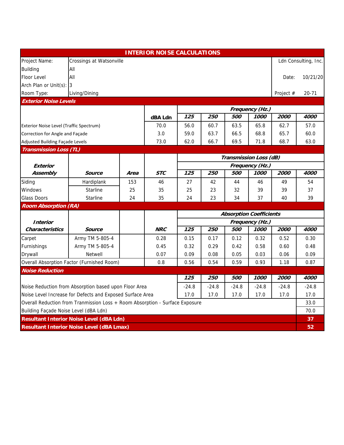|                                         |                                                                              |      | <b>INTERIOR NOISE CALCULATIONS</b> |         |         |                                |                 |             |                      |  |
|-----------------------------------------|------------------------------------------------------------------------------|------|------------------------------------|---------|---------|--------------------------------|-----------------|-------------|----------------------|--|
| Project Name:                           | Crossings at Watsonville                                                     |      |                                    |         |         |                                |                 |             | Ldn Consulting, Inc. |  |
| <b>Building</b>                         | All                                                                          |      |                                    |         |         |                                |                 |             |                      |  |
| Floor Level                             | All<br>Date:                                                                 |      |                                    |         |         |                                |                 |             |                      |  |
| Arch Plan or Unit(s): 3                 |                                                                              |      |                                    |         |         |                                |                 |             |                      |  |
| Room Type:                              | Living/Dining                                                                |      |                                    |         |         |                                |                 | Project #   | $20 - 71$            |  |
| <b>Exterior Noise Levels</b>            |                                                                              |      |                                    |         |         |                                |                 |             |                      |  |
|                                         |                                                                              |      |                                    |         |         |                                | Frequency (Hz.) |             |                      |  |
|                                         |                                                                              |      | dBA Ldn                            | 125     | 250     | 500                            | 1000            | 2000        | 4000                 |  |
| Exterior Noise Level (Traffic Spectrum) |                                                                              |      | 70.0                               | 56.0    | 60.7    | 63.5                           | 65.8            | 62.7        | 57.0                 |  |
| Correction for Angle and Façade         |                                                                              |      | 3.0                                | 59.0    | 63.7    | 66.5                           | 68.8            | 65.7        | 60.0                 |  |
| Adjusted Building Façade Levels         |                                                                              |      | 73.0                               | 62.0    | 66.7    | 69.5                           | 71.8            | 68.7        | 63.0                 |  |
| <b>Transmission Loss (TL)</b>           |                                                                              |      |                                    |         |         |                                |                 |             |                      |  |
|                                         |                                                                              |      |                                    |         |         | Transmission Loss (dB)         |                 |             |                      |  |
| Exterior                                |                                                                              |      |                                    |         |         |                                | Frequency (Hz.) |             |                      |  |
| Assembly                                | Source                                                                       | Area | <b>STC</b>                         | 125     | 250     | 500                            | 1000            | <i>2000</i> | 4000                 |  |
| Siding                                  | Hardiplank                                                                   | 153  | 46                                 | 27      | 42      | 44                             | 46              | 49          | 54                   |  |
| Windows                                 | <b>Starline</b>                                                              | 25   | 35                                 | 25      | 23      | 32                             | 39              | 39          | 37                   |  |
| <b>Glass Doors</b>                      | Starline                                                                     | 24   | 35                                 | 24      | 23      | 34                             | 37              | 40          | 39                   |  |
| <b>Room Absorption (RA)</b>             |                                                                              |      |                                    |         |         |                                |                 |             |                      |  |
|                                         |                                                                              |      |                                    |         |         | <b>Absorption Coefficients</b> |                 |             |                      |  |
| <i><b>Interior</b></i>                  |                                                                              |      |                                    |         |         |                                | Frequency (Hz.) |             |                      |  |
| <b>Characteristics</b>                  | <b>Source</b>                                                                |      | <b>NRC</b>                         | 125     | 250     | 500                            | 1000            | 2000        | 4000                 |  |
| Carpet                                  | Army TM 5-805-4                                                              |      | 0.28                               | 0.15    | 0.17    | 0.12                           | 0.32            | 0.52        | 0.30                 |  |
| Furnishings                             | Army TM 5-805-4                                                              |      | 0.45                               | 0.32    | 0.29    | 0.42                           | 0.58            | 0.60        | 0.48                 |  |
| Drywall                                 | <b>Netwell</b>                                                               |      | 0.07                               | 0.09    | 0.08    | 0.05                           | 0.03            | 0.06        | 0.09                 |  |
|                                         | Overall Absorption Factor (Furnished Room)                                   |      | 0.8                                | 0.56    | 0.54    | 0.59                           | 0.93            | 1.18        | 0.87                 |  |
| <b>Noise Reduction</b>                  |                                                                              |      |                                    |         |         |                                |                 |             |                      |  |
|                                         |                                                                              |      |                                    | 125     | 250     | 500                            | 1000            | 2000        | 4000                 |  |
|                                         | Noise Reduction from Absorption based upon Floor Area                        |      |                                    | $-24.8$ | $-24.8$ | $-24.8$                        | $-24.8$         | $-24.8$     | $-24.8$              |  |
|                                         | Noise Level Increase for Defects and Exposed Surface Area                    |      |                                    | 17.0    | 17.0    | 17.0                           | 17.0            | 17.0        | 17.0                 |  |
|                                         | Overall Reduction from Tranmission Loss + Room Absorption - Surface Exposure |      |                                    |         |         |                                |                 |             | 33.0                 |  |
| Building Façade Noise Level (dBA Ldn)   |                                                                              |      |                                    |         |         |                                |                 |             | 70.0                 |  |
|                                         | <b>Resultant Interior Noise Level (dBA Ldn)</b>                              |      |                                    |         |         |                                |                 |             | 37                   |  |
|                                         | <b>Resultant Interior Noise Level (dBA Lmax)</b>                             |      |                                    |         |         |                                |                 |             | 52                   |  |